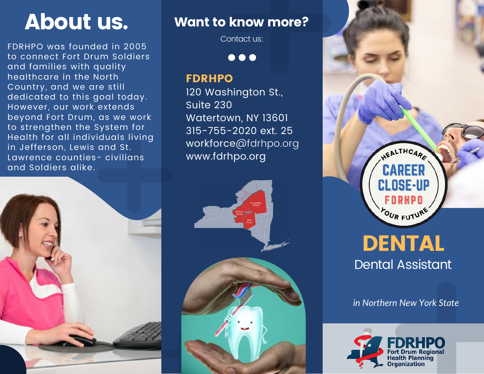FDRHPO was founded in 2005 to connect Fort Drum Soldiers and families with quality healthcare in the North Country, and we are still dedicated to this goal today. However, our work extends beyond Fort Drum, as we work to strengthen the System for Health for all individuals living in Jefferson, Lewis and St. Lawrence counties- civilians and Soldiers alike.



# About us. Want to know more?

Contact us:

 $\bullet\bullet\bullet$ 

## FDRHPO

120 Washington St., Suite 230 Watertown, NY 13601 315-755-2020 ext. 25 workforce@fdrhpo.org www.fdrhpo.org





Dental Assistant

*in Northern New York State*